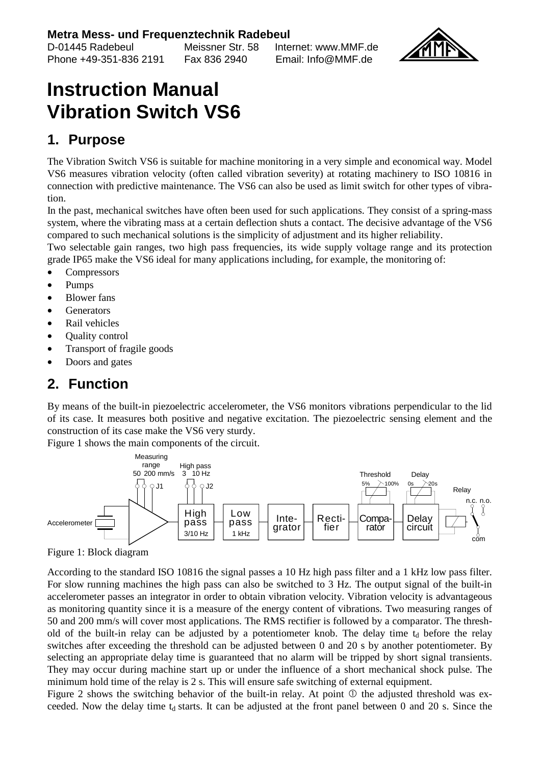D-01445 Radebeul Meissner Str. 58 Internet: www.MMF.de Phone +49-351-836 2191



## **Instruction Manual Vibration Switch VS6**

## **1. Purpose**

The Vibration Switch VS6 is suitable for machine monitoring in a very simple and economical way. Model VS6 measures vibration velocity (often called vibration severity) at rotating machinery to ISO 10816 in connection with predictive maintenance. The VS6 can also be used as limit switch for other types of vibration.

In the past, mechanical switches have often been used for such applications. They consist of a spring-mass system, where the vibrating mass at a certain deflection shuts a contact. The decisive advantage of the VS6 compared to such mechanical solutions is the simplicity of adjustment and its higher reliability.

Two selectable gain ranges, two high pass frequencies, its wide supply voltage range and its protection grade IP65 make the VS6 ideal for many applications including, for example, the monitoring of:

- Compressors
- Pumps
- **Blower** fans
- **Generators**
- Rail vehicles
- Quality control
- Transport of fragile goods
- Doors and gates

## **2. Function**

By means of the built-in piezoelectric accelerometer, the VS6 monitors vibrations perpendicular to the lid of its case. It measures both positive and negative excitation. The piezoelectric sensing element and the construction of its case make the VS6 very sturdy.

Figure 1 shows the main components of the circuit.



Figure 1: Block diagram

According to the standard ISO 10816 the signal passes a 10 Hz high pass filter and a 1 kHz low pass filter. For slow running machines the high pass can also be switched to 3 Hz. The output signal of the built-in accelerometer passes an integrator in order to obtain vibration velocity. Vibration velocity is advantageous as monitoring quantity since it is a measure of the energy content of vibrations. Two measuring ranges of 50 and 200 mm/s will cover most applications. The RMS rectifier is followed by a comparator. The threshold of the built-in relay can be adjusted by a potentiometer knob. The delay time  $t<sub>d</sub>$  before the relay switches after exceeding the threshold can be adjusted between 0 and 20 s by another potentiometer. By selecting an appropriate delay time is guaranteed that no alarm will be tripped by short signal transients. They may occur during machine start up or under the influence of a short mechanical shock pulse. The minimum hold time of the relay is 2 s. This will ensure safe switching of external equipment.

Figure 2 shows the switching behavior of the built-in relay. At point  $\Phi$  the adjusted threshold was exceeded. Now the delay time  $t_d$  starts. It can be adjusted at the front panel between 0 and 20 s. Since the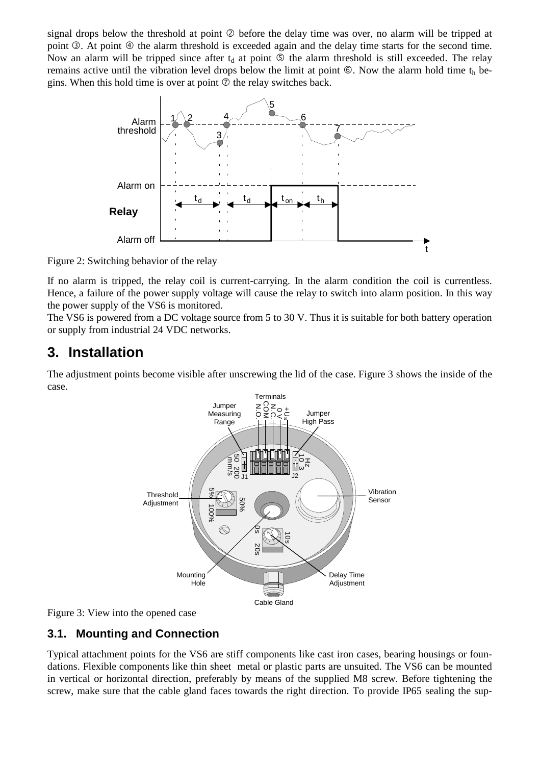signal drops below the threshold at point  $\oslash$  before the delay time was over, no alarm will be tripped at point  $\circled{2}$ . At point  $\circled{4}$  the alarm threshold is exceeded again and the delay time starts for the second time. Now an alarm will be tripped since after  $t_d$  at point  $\circledcirc$  the alarm threshold is still exceeded. The relay remains active until the vibration level drops below the limit at point  $\circledast$ . Now the alarm hold time t<sub>h</sub> begins. When this hold time is over at point  $\oslash$  the relay switches back.



Figure 2: Switching behavior of the relay

If no alarm is tripped, the relay coil is current-carrying. In the alarm condition the coil is currentless. Hence, a failure of the power supply voltage will cause the relay to switch into alarm position. In this way the power supply of the VS6 is monitored.

The VS6 is powered from a DC voltage source from 5 to 30 V. Thus it is suitable for both battery operation or supply from industrial 24 VDC networks.

### **3. Installation**

The adjustment points become visible after unscrewing the lid of the case. Figure 3 shows the inside of the case.



Figure 3: View into the opened case

#### **3.1. Mounting and Connection**

Typical attachment points for the VS6 are stiff components like cast iron cases, bearing housings or foundations. Flexible components like thin sheet metal or plastic parts are unsuited. The VS6 can be mounted in vertical or horizontal direction, preferably by means of the supplied M8 screw. Before tightening the screw, make sure that the cable gland faces towards the right direction. To provide IP65 sealing the sup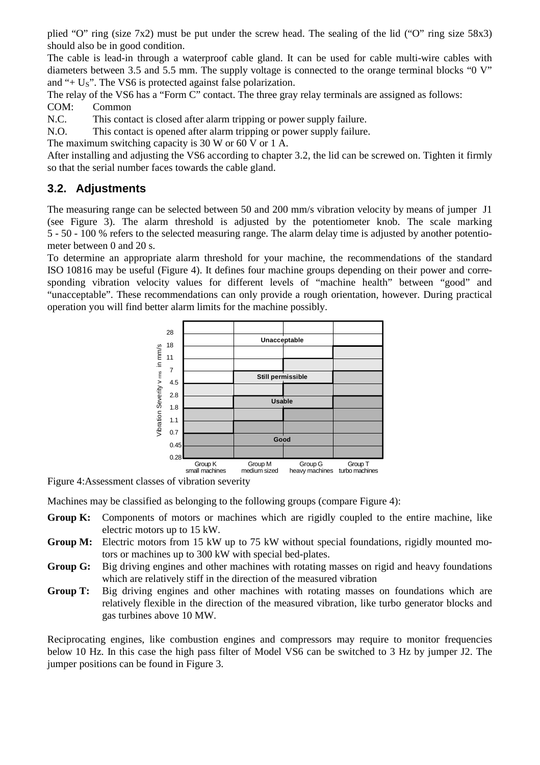plied "O" ring (size 7x2) must be put under the screw head. The sealing of the lid ("O" ring size 58x3) should also be in good condition.

The cable is lead-in through a waterproof cable gland. It can be used for cable multi-wire cables with diameters between 3.5 and 5.5 mm. The supply voltage is connected to the orange terminal blocks "0 V" and " $+ U<sub>S</sub>$ ". The VS6 is protected against false polarization.

The relay of the VS6 has a "Form C" contact. The three gray relay terminals are assigned as follows: COM: Common

N.C. This contact is closed after alarm tripping or power supply failure.

N.O. This contact is opened after alarm tripping or power supply failure.

The maximum switching capacity is 30 W or 60 V or 1 A.

After installing and adjusting the VS6 according to chapter 3.2, the lid can be screwed on. Tighten it firmly so that the serial number faces towards the cable gland.

#### **3.2. Adjustments**

The measuring range can be selected between 50 and 200 mm/s vibration velocity by means of jumper J1 (see Figure 3). The alarm threshold is adjusted by the potentiometer knob. The scale marking 5 - 50 - 100 % refers to the selected measuring range. The alarm delay time is adjusted by another potentiometer between 0 and 20 s.

To determine an appropriate alarm threshold for your machine, the recommendations of the standard ISO 10816 may be useful (Figure 4). It defines four machine groups depending on their power and corresponding vibration velocity values for different levels of "machine health" between "good" and "unacceptable". These recommendations can only provide a rough orientation, however. During practical operation you will find better alarm limits for the machine possibly.



Figure 4:Assessment classes of vibration severity

Machines may be classified as belonging to the following groups (compare Figure 4):

- **Group K:** Components of motors or machines which are rigidly coupled to the entire machine, like electric motors up to 15 kW.
- **Group M:** Electric motors from 15 kW up to 75 kW without special foundations, rigidly mounted motors or machines up to 300 kW with special bed-plates.
- **Group G:** Big driving engines and other machines with rotating masses on rigid and heavy foundations which are relatively stiff in the direction of the measured vibration
- **Group T:** Big driving engines and other machines with rotating masses on foundations which are relatively flexible in the direction of the measured vibration, like turbo generator blocks and gas turbines above 10 MW.

Reciprocating engines, like combustion engines and compressors may require to monitor frequencies below 10 Hz. In this case the high pass filter of Model VS6 can be switched to 3 Hz by jumper J2. The jumper positions can be found in Figure 3.